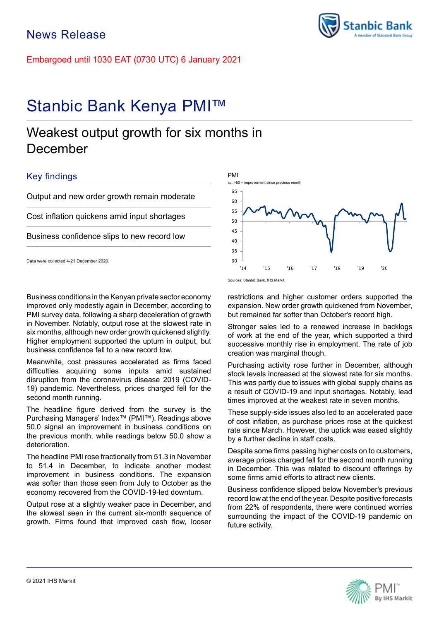Embargoed until 1030 EAT (0730 UTC) 6 January 2021

# Stanbic Bank Kenya PMI™

## Weakest output growth for six months in December

## Key findings

Output and new order growth remain moderate

Cost inflation quickens amid input shortages

Business confidence slips to new record low

Data were collected 4-21 December 2020.

Business conditions in the Kenyan private sector economy improved only modestly again in December, according to PMI survey data, following a sharp deceleration of growth in November. Notably, output rose at the slowest rate in six months, although new order growth quickened slightly. Higher employment supported the upturn in output, but business confidence fell to a new record low.

Meanwhile, cost pressures accelerated as firms faced difficulties acquiring some inputs amid sustained disruption from the coronavirus disease 2019 (COVID-19) pandemic. Nevertheless, prices charged fell for the second month running.

The headline figure derived from the survey is the Purchasing Managers' Index™ (PMI™). Readings above 50.0 signal an improvement in business conditions on the previous month, while readings below 50.0 show a deterioration.

The headline PMI rose fractionally from 51.3 in November to 51.4 in December, to indicate another modest improvement in business conditions. The expansion was softer than those seen from July to October as the economy recovered from the COVID-19-led downturn.

Output rose at a slightly weaker pace in December, and the slowest seen in the current six-month sequence of growth. Firms found that improved cash flow, looser



60 65

PMI

sa, >50 = improvement since previous month

restrictions and higher customer orders supported the expansion. New order growth quickened from November, but remained far softer than October's record high.

Stronger sales led to a renewed increase in backlogs of work at the end of the year, which supported a third successive monthly rise in employment. The rate of job creation was marginal though.

Purchasing activity rose further in December, although stock levels increased at the slowest rate for six months. This was partly due to issues with global supply chains as a result of COVID-19 and input shortages. Notably, lead times improved at the weakest rate in seven months.

These supply-side issues also led to an accelerated pace of cost inflation, as purchase prices rose at the quickest rate since March. However, the uptick was eased slightly by a further decline in staff costs.

Despite some firms passing higher costs on to customers, average prices charged fell for the second month running in December. This was related to discount offerings by some firms amid efforts to attract new clients.

Business confidence slipped below November's previous record low at the end of the year. Despite positive forecasts from 22% of respondents, there were continued worries surrounding the impact of the COVID-19 pandemic on future activity.